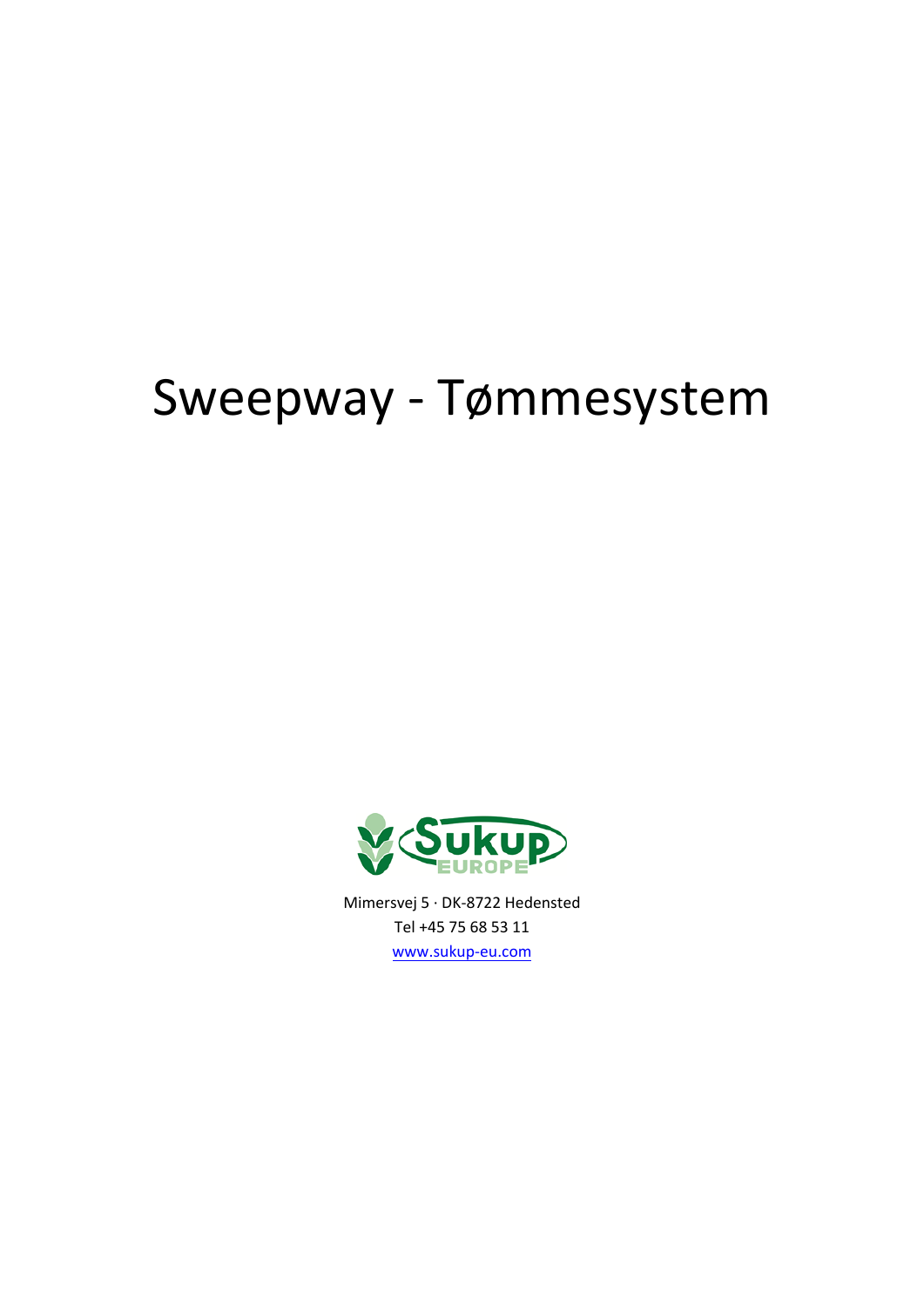# Sweepway - Tømmesystem



Tel +45 75 68 53 11 [www.sukup-eu.com](http://www.sukup-eu.com/)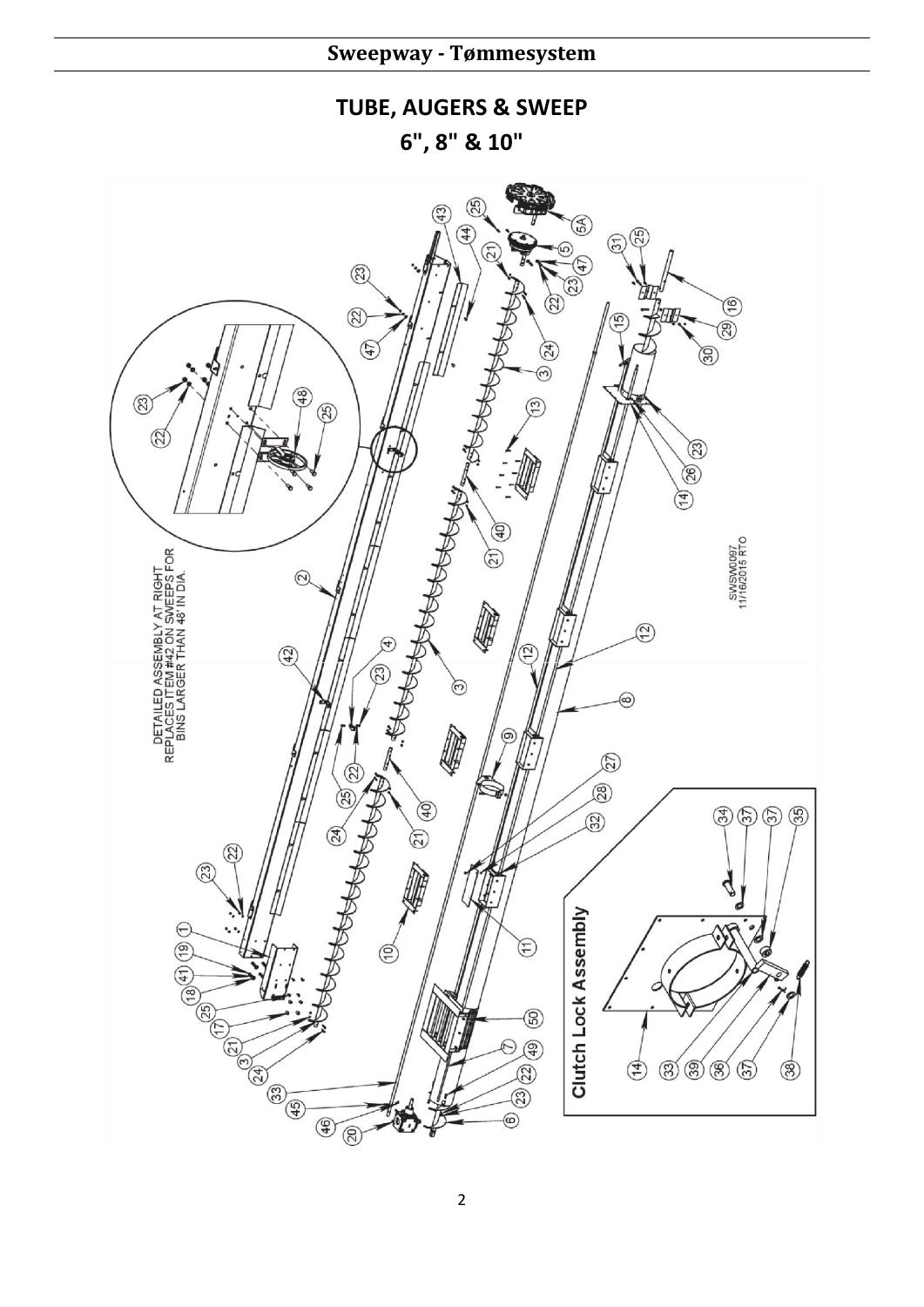## **TUBE, AUGERS & SWEEP**

**6", 8" & 10"**

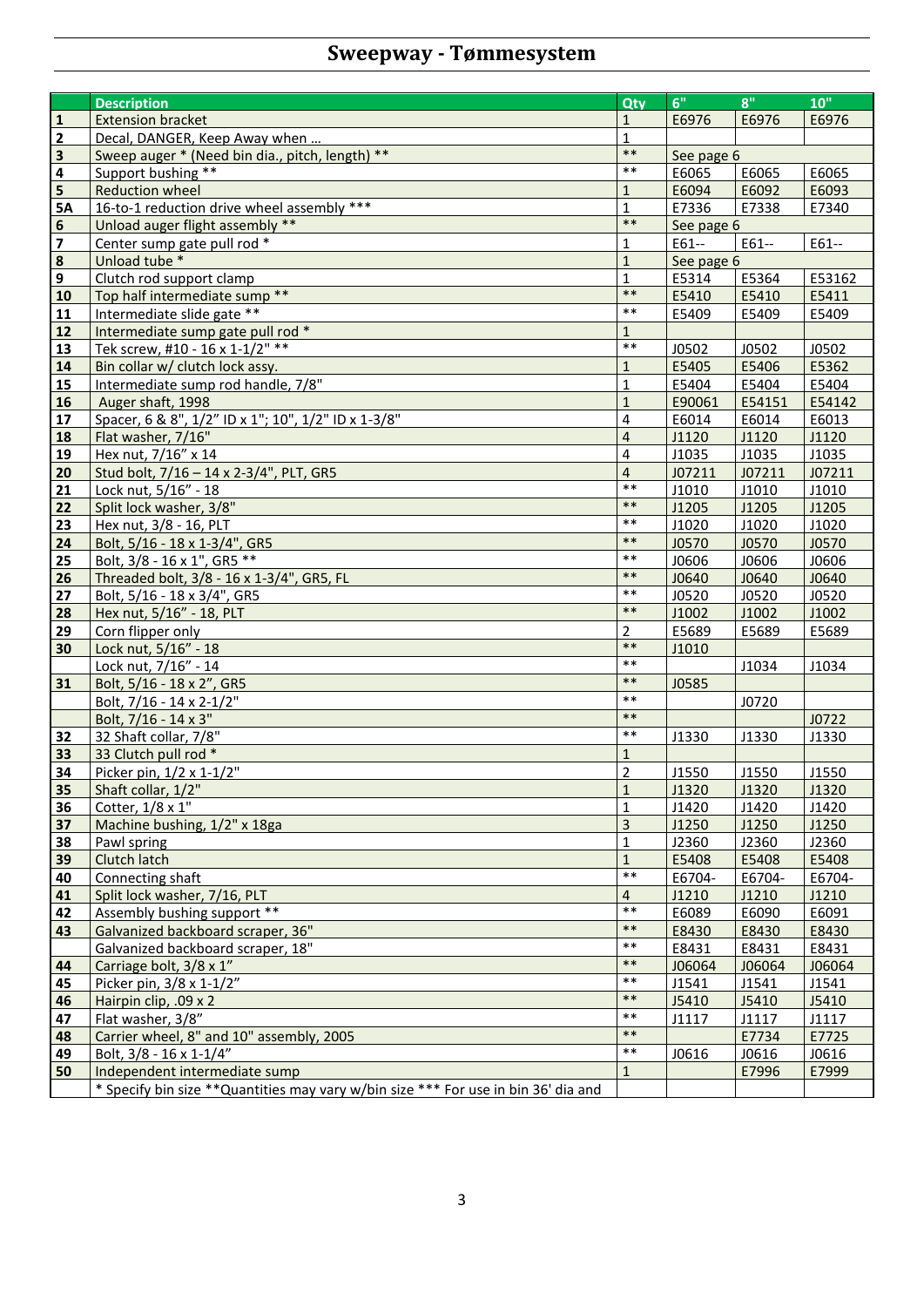# **Sweepway - Tømmesystem**

|                         | <b>Description</b>                                                                  | Qty                     | 6"         | 8"              | 10"    |
|-------------------------|-------------------------------------------------------------------------------------|-------------------------|------------|-----------------|--------|
| ${\bf 1}$               | <b>Extension bracket</b>                                                            | $\mathbf{1}$            | E6976      | E6976           | E6976  |
|                         |                                                                                     |                         |            |                 |        |
| $\overline{2}$          | Decal, DANGER, Keep Away when                                                       | $\mathbf{1}$<br>$***$   |            |                 |        |
| $\overline{\mathbf{3}}$ | Sweep auger * (Need bin dia., pitch, length) **                                     | $***$                   | See page 6 |                 |        |
| $\overline{\mathbf{4}}$ | Support bushing **                                                                  |                         | E6065      | E6065           | E6065  |
| $\overline{\mathbf{5}}$ | <b>Reduction wheel</b>                                                              | $1\,$                   | E6094      | E6092           | E6093  |
| <b>5A</b>               | 16-to-1 reduction drive wheel assembly ***                                          | $\mathbf{1}$<br>$***$   | E7336      | E7338           | E7340  |
| $\boldsymbol{6}$        | Unload auger flight assembly **                                                     |                         | See page 6 |                 |        |
| $\overline{\mathbf{z}}$ | Center sump gate pull rod *                                                         | $\mathbf 1$             | E61--      | E61--           | E61--  |
| $\overline{\mathbf{8}}$ | Unload tube *                                                                       | $1\,$                   | See page 6 |                 |        |
| $\mathbf{9}$            | Clutch rod support clamp                                                            | $\mathbf{1}$            | E5314      | E5364           | E53162 |
| 10                      | Top half intermediate sump **                                                       | $***$                   | E5410      | E5410           | E5411  |
| 11                      | Intermediate slide gate **                                                          | $***$                   | E5409      | E5409           | E5409  |
| $12$                    | Intermediate sump gate pull rod *                                                   | $\mathbf{1}$            |            |                 |        |
| 13                      | Tek screw, #10 - 16 x 1-1/2" **                                                     | $***$                   | J0502      | J0502           | J0502  |
| 14                      | Bin collar w/ clutch lock assy.                                                     | $\mathbf{1}$            | E5405      | E5406           | E5362  |
| 15                      | Intermediate sump rod handle, 7/8"                                                  | $\mathbf{1}$            | E5404      | E5404           | E5404  |
| 16                      | Auger shaft, 1998                                                                   | $\mathbf{1}$            | E90061     | E54151          | E54142 |
| 17                      | Spacer, 6 & 8", 1/2" ID x 1"; 10", 1/2" ID x 1-3/8"                                 | 4                       | E6014      | E6014           | E6013  |
| 18                      | Flat washer, 7/16"                                                                  | $\overline{4}$          | J1120      | J1120           | J1120  |
| 19                      | Hex nut, 7/16" x 14                                                                 | 4                       | J1035      | J1035           | J1035  |
| 20                      | Stud bolt, 7/16 - 14 x 2-3/4", PLT, GR5                                             | $\overline{\mathbf{4}}$ | J07211     | J07211          | J07211 |
| 21                      | Lock nut, 5/16" - 18                                                                | $***$                   | J1010      | J1010           | J1010  |
| 22                      | Split lock washer, 3/8"                                                             | $***$                   | J1205      | J1205           | J1205  |
| 23                      | Hex nut, 3/8 - 16, PLT                                                              | $***$                   | J1020      | J1020           | J1020  |
| 24                      | Bolt, 5/16 - 18 x 1-3/4", GR5                                                       | $***$                   | J0570      | <b>J0570</b>    | J0570  |
| 25                      | Bolt, 3/8 - 16 x 1", GR5 **                                                         | $***$                   | J0606      | J0606           | J0606  |
| 26                      | Threaded bolt, 3/8 - 16 x 1-3/4", GR5, FL                                           | $***$                   | J0640      | J0640           | J0640  |
| 27                      | Bolt, 5/16 - 18 x 3/4", GR5                                                         | $***$                   | J0520      | J0520           | J0520  |
| 28                      | Hex nut, 5/16" - 18, PLT                                                            | $***$                   | J1002      | J1002           | J1002  |
| 29                      | Corn flipper only                                                                   | $\overline{2}$          | E5689      | E5689           | E5689  |
| 30                      | Lock nut, 5/16" - 18                                                                | $***$                   | J1010      |                 |        |
|                         | Lock nut, 7/16" - 14                                                                | $***$                   |            | J1034           | J1034  |
| 31                      | Bolt, 5/16 - 18 x 2", GR5                                                           | $***$                   | J0585      |                 |        |
|                         | Bolt, 7/16 - 14 x 2-1/2"                                                            | $***$                   |            | J0720           |        |
|                         | Bolt, 7/16 - 14 x 3"                                                                | $***$                   |            |                 | J0722  |
| 32                      | 32 Shaft collar, 7/8"                                                               | $***$                   | J1330      | J1330           | J1330  |
| 33                      | 33 Clutch pull rod *                                                                | $\mathbf{1}$            |            |                 |        |
| 34                      | Picker pin, 1/2 x 1-1/2"                                                            | $\overline{2}$          | J1550      | J1550           | J1550  |
| 35                      | Shaft collar, 1/2"                                                                  | $\mathbf{1}$            | J1320      | J1320           | J1320  |
| 36                      | Cotter, 1/8 x 1"                                                                    | $\mathbf 1$             | J1420      | J1420           | J1420  |
| 37                      | Machine bushing, 1/2" x 18ga                                                        | $\overline{3}$          | J1250      | J1250           | J1250  |
| 38                      | Pawl spring                                                                         | 1                       | J2360      | J2360           | J2360  |
| 39                      | Clutch latch                                                                        | $\mathbf{1}$            | E5408      | E5408           | E5408  |
| 40                      | Connecting shaft                                                                    | $***$                   | E6704-     | E6704-          | E6704- |
| 41                      | Split lock washer, 7/16, PLT                                                        | 4                       | J1210      | J1210           | J1210  |
| 42                      | Assembly bushing support **                                                         | $***$                   | E6089      | E6090           | E6091  |
| 43                      | Galvanized backboard scraper, 36"                                                   | $***$                   | E8430      | E8430           | E8430  |
|                         | Galvanized backboard scraper, 18"                                                   | $***$                   | E8431      | E8431           | E8431  |
|                         | Carriage bolt, 3/8 x 1"                                                             | $***$                   |            |                 |        |
| 44                      | Picker pin, 3/8 x 1-1/2"                                                            | $***$                   | J06064     | J06064<br>J1541 | J06064 |
| 45                      |                                                                                     | $***$                   | J1541      |                 | J1541  |
| 46                      | Hairpin clip, .09 x 2                                                               | $***$                   | J5410      | J5410           | J5410  |
| 47                      | Flat washer, 3/8"                                                                   | $***$                   | J1117      | J1117           | J1117  |
| 48                      | Carrier wheel, 8" and 10" assembly, 2005                                            | $***$                   |            | E7734           | E7725  |
| 49                      | Bolt, 3/8 - 16 x 1-1/4"                                                             |                         | J0616      | J0616           | J0616  |
| 50                      | Independent intermediate sump                                                       | $\mathbf{1}$            |            | E7996           | E7999  |
|                         | * Specify bin size ** Quantities may vary w/bin size *** For use in bin 36' dia and |                         |            |                 |        |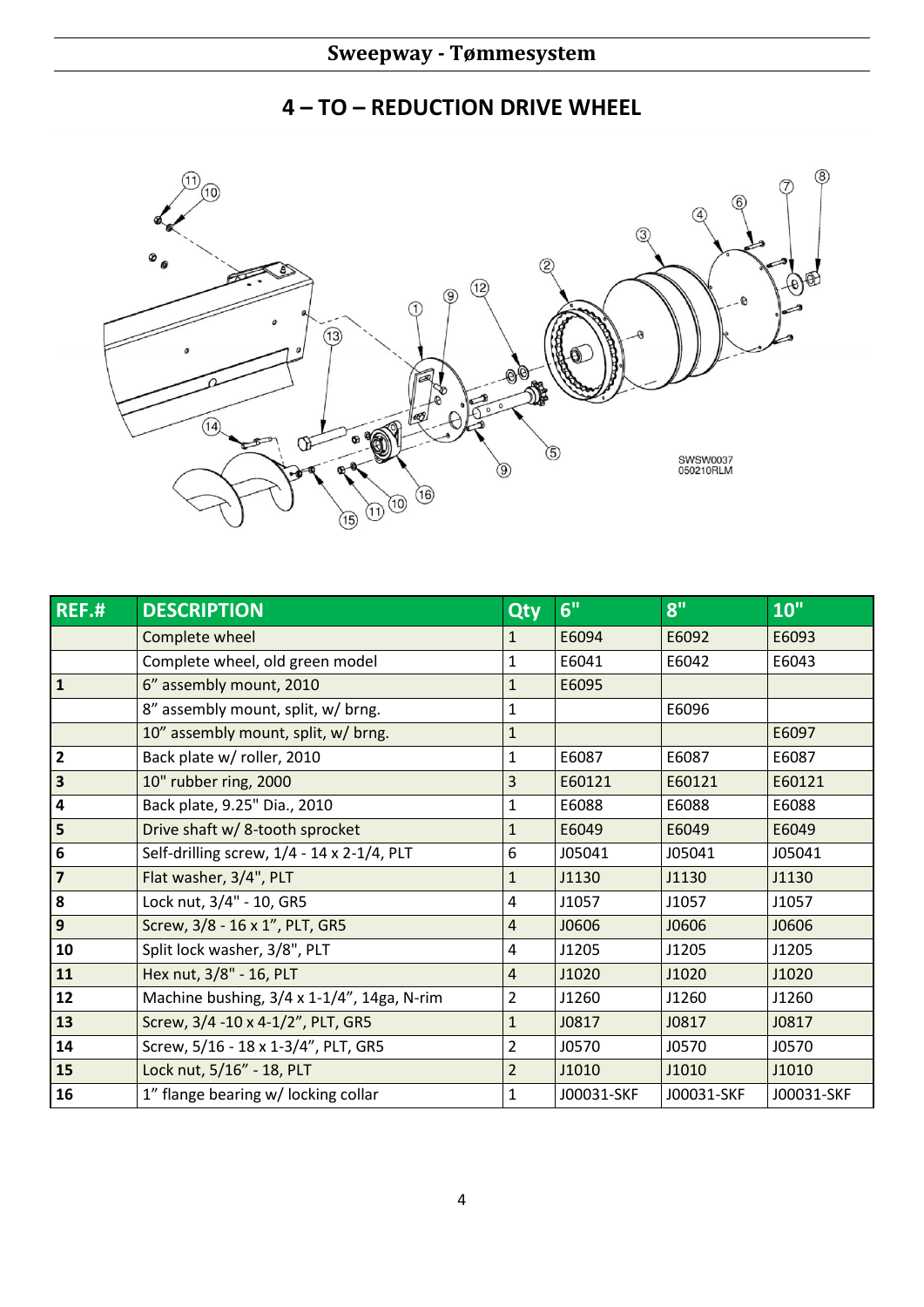### **– TO – REDUCTION DRIVE WHEEL**



| REF.H                   | <b>DESCRIPTION</b>                         | Qty            | 6"         | 8"         | 10"        |
|-------------------------|--------------------------------------------|----------------|------------|------------|------------|
|                         | Complete wheel                             | 1              | E6094      | E6092      | E6093      |
|                         | Complete wheel, old green model            | 1              | E6041      | E6042      | E6043      |
| $\overline{1}$          | 6" assembly mount, 2010                    | $\mathbf{1}$   | E6095      |            |            |
|                         | 8" assembly mount, split, w/ brng.         | 1              |            | E6096      |            |
|                         | 10" assembly mount, split, w/ brng.        | $\mathbf{1}$   |            |            | E6097      |
| $\overline{2}$          | Back plate w/ roller, 2010                 | $\mathbf{1}$   | E6087      | E6087      | E6087      |
| $\overline{\mathbf{3}}$ | 10" rubber ring, 2000                      | 3              | E60121     | E60121     | E60121     |
| $\overline{\mathbf{4}}$ | Back plate, 9.25" Dia., 2010               | $\mathbf{1}$   | E6088      | E6088      | E6088      |
| $\overline{5}$          | Drive shaft w/ 8-tooth sprocket            | $\mathbf{1}$   | E6049      | E6049      | E6049      |
| $\boldsymbol{6}$        | Self-drilling screw, 1/4 - 14 x 2-1/4, PLT | 6              | J05041     | J05041     | J05041     |
| $\overline{\mathbf{z}}$ | Flat washer, 3/4", PLT                     | $\mathbf{1}$   | J1130      | J1130      | J1130      |
| 8                       | Lock nut, 3/4" - 10, GR5                   | 4              | J1057      | J1057      | J1057      |
| $\overline{9}$          | Screw, 3/8 - 16 x 1", PLT, GR5             | $\overline{4}$ | J0606      | J0606      | J0606      |
| 10                      | Split lock washer, 3/8", PLT               | 4              | J1205      | J1205      | J1205      |
| 11                      | Hex nut, 3/8" - 16, PLT                    | $\overline{4}$ | J1020      | J1020      | J1020      |
| 12                      | Machine bushing, 3/4 x 1-1/4", 14ga, N-rim | 2              | J1260      | J1260      | J1260      |
| 13                      | Screw, 3/4 -10 x 4-1/2", PLT, GR5          | $\mathbf{1}$   | J0817      | J0817      | J0817      |
| 14                      | Screw, 5/16 - 18 x 1-3/4", PLT, GR5        | 2              | J0570      | J0570      | J0570      |
| 15                      | Lock nut, 5/16" - 18, PLT                  | $\overline{2}$ | J1010      | J1010      | J1010      |
| 16                      | 1" flange bearing w/ locking collar        | $\mathbf{1}$   | J00031-SKF | J00031-SKF | J00031-SKF |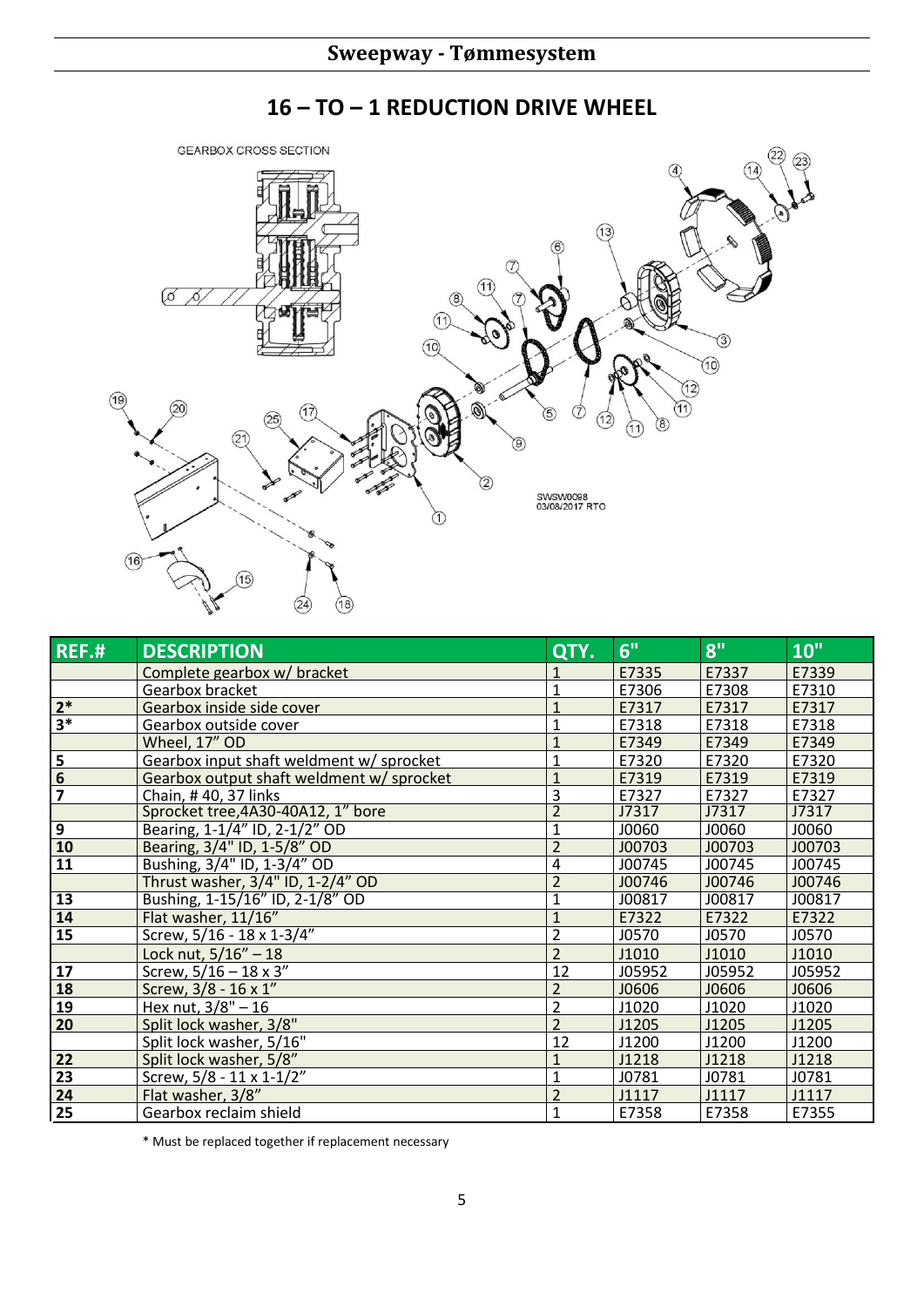#### **GEARBOX CROSS SECTION**  $\sqrt{14}$  $\sqrt{4}$  $(13)$  $\varnothing$ D, ි  $(11)$  $\circled{3}$  $\circled{10}$  $\circledR$  $\widehat{12}$  $(19)$  $\widehat{\mathcal{F}}$ ۱  $(17)$  $\overline{5}$  $\widehat{25}$ 12 ó  $(11)$  $(21)$  $\hat{2}$ SWSW0098<br>03/08/2017 RTO  $\bigcirc$  $\circledR$  $(24)$ 18)

| <b>REF.#</b>            | <b>DESCRIPTION</b>                        | QTY.           | 6"     | 8"     | 10"    |
|-------------------------|-------------------------------------------|----------------|--------|--------|--------|
|                         | Complete gearbox w/ bracket               |                | E7335  | E7337  | E7339  |
|                         | Gearbox bracket                           | $\mathbf{1}$   | E7306  | E7308  | E7310  |
| $2*$                    | Gearbox inside side cover                 | $\mathbf{1}$   | E7317  | E7317  | E7317  |
| $3*$                    | Gearbox outside cover                     |                | E7318  | E7318  | E7318  |
|                         | Wheel, 17" OD                             | 1              | E7349  | E7349  | E7349  |
| $\frac{5}{6}$           | Gearbox input shaft weldment w/ sprocket  | $\mathbf{1}$   | E7320  | E7320  | E7320  |
|                         | Gearbox output shaft weldment w/ sprocket | $\overline{1}$ | E7319  | E7319  | E7319  |
| $\overline{\mathbf{z}}$ | Chain, #40, 37 links                      | $\mathbf{3}$   | E7327  | E7327  | E7327  |
|                         | Sprocket tree, 4A30-40A12, 1" bore        | $\overline{2}$ | J7317  | J7317  | J7317  |
| $\overline{9}$          | Bearing, 1-1/4" ID, 2-1/2" OD             | $\mathbf{1}$   | J0060  | J0060  | J0060  |
| 10                      | Bearing, 3/4" ID, 1-5/8" OD               | $\overline{2}$ | J00703 | J00703 | J00703 |
| $\overline{11}$         | Bushing, 3/4" ID, 1-3/4" OD               | 4              | J00745 | J00745 | J00745 |
|                         | Thrust washer, 3/4" ID, 1-2/4" OD         | $\overline{2}$ | J00746 | J00746 | J00746 |
| 13                      | Bushing, 1-15/16" ID, 2-1/8" OD           | $\mathbf{1}$   | J00817 | J00817 | J00817 |
| 14                      | Flat washer, 11/16"                       | $\mathbf{1}$   | E7322  | E7322  | E7322  |
| 15                      | Screw, 5/16 - 18 x 1-3/4"                 | $\overline{2}$ | J0570  | J0570  | J0570  |
|                         | Lock nut, $5/16'' - 18$                   | $\overline{2}$ | J1010  | J1010  | J1010  |
| 17                      | Screw, $5/16 - 18 \times 3''$             | 12             | J05952 | J05952 | J05952 |
| 18                      | Screw, 3/8 - 16 x 1"                      | $\overline{2}$ | J0606  | J0606  | J0606  |
| <u>19</u>               | Hex nut, $3/8" - 16$                      | $\overline{2}$ | J1020  | J1020  | J1020  |
| 20                      | Split lock washer, 3/8"                   | $\overline{2}$ | J1205  | J1205  | J1205  |
|                         | Split lock washer, 5/16"                  | 12             | J1200  | J1200  | J1200  |
| 22                      | Split lock washer, 5/8"                   | 1              | J1218  | J1218  | J1218  |
| 23                      | Screw, $5/8 - 11 \times 1 - 1/2$ "        | $\mathbf{1}$   | J0781  | J0781  | J0781  |
| 24                      | Flat washer, 3/8"                         | $\overline{2}$ | J1117  | J1117  | J1117  |
| 25                      | Gearbox reclaim shield                    | $\mathbf{1}$   | E7358  | E7358  | E7355  |

\* Must be replaced together if replacement necessary